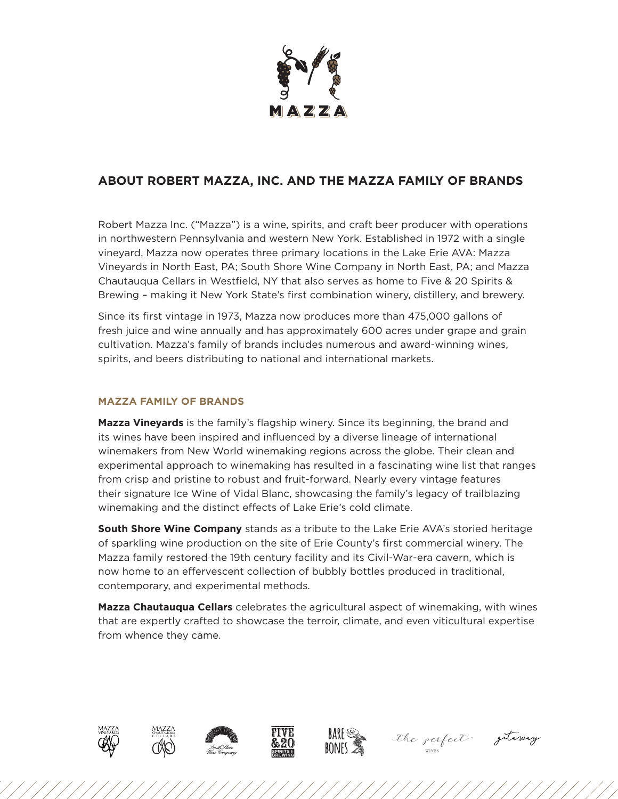

## **ABOUT ROBERT MAZZA, INC. AND THE MAZZA FAMILY OF BRANDS**

Robert Mazza Inc. ("Mazza") is a wine, spirits, and craft beer producer with operations in northwestern Pennsylvania and western New York. Established in 1972 with a single vineyard, Mazza now operates three primary locations in the Lake Erie AVA: Mazza Vineyards in North East, PA; South Shore Wine Company in North East, PA; and Mazza Chautauqua Cellars in Westfield, NY that also serves as home to Five & 20 Spirits & Brewing – making it New York State's first combination winery, distillery, and brewery.

Since its first vintage in 1973, Mazza now produces more than 475,000 gallons of fresh juice and wine annually and has approximately 600 acres under grape and grain cultivation. Mazza's family of brands includes numerous and award-winning wines, spirits, and beers distributing to national and international markets.

## **MAZZA FAMILY OF BRANDS**

**Mazza Vineyards** is the family's flagship winery. Since its beginning, the brand and its wines have been inspired and influenced by a diverse lineage of international winemakers from New World winemaking regions across the globe. Their clean and experimental approach to winemaking has resulted in a fascinating wine list that ranges from crisp and pristine to robust and fruit-forward. Nearly every vintage features their signature Ice Wine of Vidal Blanc, showcasing the family's legacy of trailblazing winemaking and the distinct effects of Lake Erie's cold climate.

**South Shore Wine Company** stands as a tribute to the Lake Erie AVA's storied heritage of sparkling wine production on the site of Erie County's first commercial winery. The Mazza family restored the 19th century facility and its Civil-War-era cavern, which is now home to an effervescent collection of bubbly bottles produced in traditional, contemporary, and experimental methods.

**Mazza Chautauqua Cellars** celebrates the agricultural aspect of winemaking, with wines that are expertly crafted to showcase the terroir, climate, and even viticultural expertise from whence they came.













the respect